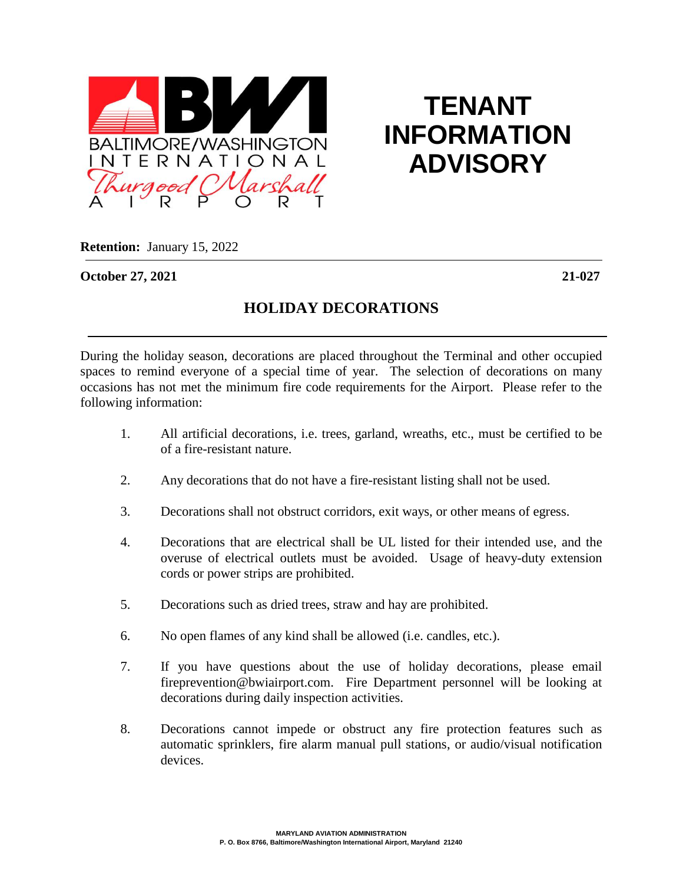

## **TENANT INFORMATION ADVISORY**

**Retention:** January 15, 2022

**October 27, 2021 21-027**

## **HOLIDAY DECORATIONS**

During the holiday season, decorations are placed throughout the Terminal and other occupied spaces to remind everyone of a special time of year. The selection of decorations on many occasions has not met the minimum fire code requirements for the Airport. Please refer to the following information:

- 1. All artificial decorations, i.e. trees, garland, wreaths, etc., must be certified to be of a fire-resistant nature.
- 2. Any decorations that do not have a fire-resistant listing shall not be used.
- 3. Decorations shall not obstruct corridors, exit ways, or other means of egress.
- 4. Decorations that are electrical shall be UL listed for their intended use, and the overuse of electrical outlets must be avoided. Usage of heavy-duty extension cords or power strips are prohibited.
- 5. Decorations such as dried trees, straw and hay are prohibited.
- 6. No open flames of any kind shall be allowed (i.e. candles, etc.).
- 7. If you have questions about the use of holiday decorations, please email fireprevention@bwiairport.com. Fire Department personnel will be looking at decorations during daily inspection activities.
- 8. Decorations cannot impede or obstruct any fire protection features such as automatic sprinklers, fire alarm manual pull stations, or audio/visual notification devices.